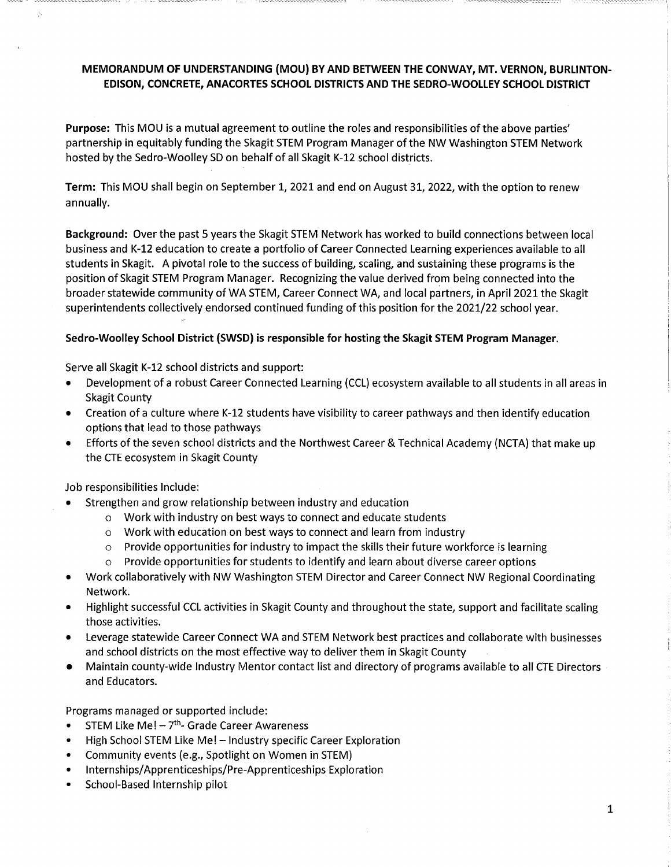## **MEMORANDUM OF UNDERSTANDING (MOU) BY AND BETWEEN THE CONWAY, MT. VERNON, BURLINTON-EDISON, CONCRETE, ANACORTES SCHOOL DISTRICTS AND THE SEDRO-WOOLLEY SCHOOL DISTRICT**

**Purpose:** This MOU is a mutual agreement to outline the roles and responsibilities of the above parties' partnership in equitably funding the Skagit STEM Program Manager ofthe NW Washington STEM Network hosted by the Sedro-Woolley SD on behalf of all Skagit K-12 school districts.

**Term:** This MOU shall begin on September 1, 2021 and end on August 31, 2022, with the option to renew annually.

**Background:** Over the past 5 years the Skagit STEM Network has worked to build connections between local business and K-12 education to create a portfolio of Career Connected Learning experiences available to all students in Skagit. A pivotal role to the success of building, scaling, and sustaining these programs is the position of Skagit STEM Program Manager. Recognizing the value derived from being connected into the broader statewide community of WA STEM, Career Connect WA, and local partners, in April 2021 the Skagit superintendents collectively endorsed continued funding of this position for the 2021/22 school year.

## **Sedro-Woolley School District (SWSD) is responsible for hosting the Skagit STEM Program Manager.**

Serve all Skagit K-12 school districts and support:

- Development of a robust Career Connected Learning (CCL) ecosystem available to all students in all areas in Skagit County
- Creation of a culture where K-12 students have visibility to career pathways and then identify education options that lead to those pathways
- Efforts of the seven school districts and the Northwest Career & Technical Academy (NCTA) that make up the CTE ecosystem in Skagit County

Job responsibilities Include:

- Strengthen and grow relationship between industry and education
	- o Work with industry on best ways to connect and educate students
	- o Work with education on best ways to connect and learn from industry
	- $\circ$  Provide opportunities for industry to impact the skills their future workforce is learning
	- $\circ$  Provide opportunities for students to identify and learn about diverse career options
- Work collaboratively with NW Washington STEM Director and Career Connect NW Regional Coordinating Network.
- Highlight successful CCL activities in Skagit County and throughout the state, support and facilitate scaling those activities.
- Leverage statewide Career Connect WA and STEM Network best practices and collaborate with businesses and school districts on the most effective way to deliver them in Skagit County
- Maintain county-wide Industry Mentor contact list and directory of programs available to all CTE Directors and Educators.

Programs managed or supported include:

- STEM Like Me!  $-7$ <sup>th</sup>- Grade Career Awareness
- High School STEM Like Me! Industry specific Career Exploration
- Community events (e.g., Spotlight on Women in STEM)
- Internships/Apprenticeships/Pre-Apprenticeships Exploration
- School-Based Internship pilot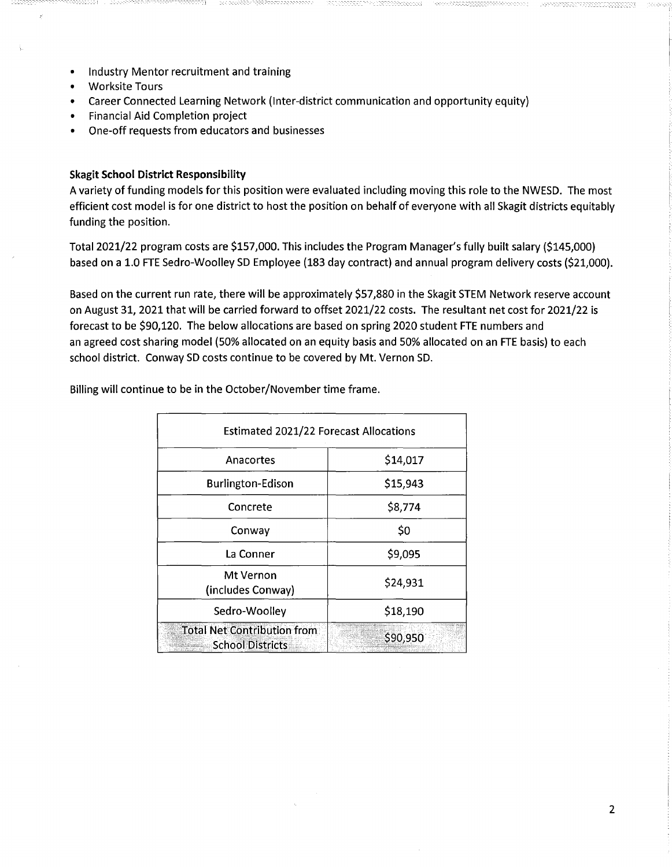- Industry Mentor recruitment and training
- Worksite Tours
- Career Connected Learning Network (Inter-district communication and opportunity equity)
- Financial Aid Completion project
- One-off requests from educators and businesses

## **Skagit School District Responsibility**

A variety of funding models for this position were evaluated including moving this role to the NWESD. The most efficient cost model is for one district to host the position on behalf of everyone with all Skagit districts equitably funding the position.

Total 2021/22 program costs are \$157,000. This includes the Program Manager's fully built salary (\$145,000) based on a 1.0 FTE Sedro-Woolley SD Employee (183 day contract) and annual program delivery costs (\$21,000).

Based on the current run rate, there will be approximately \$57,880 in the Skagit STEM Network reserve account on August 31, 2021 that will be carried forward to offset 2021/22 costs. The resultant net cost for 2021/22 is forecast to be \$90,120. The below allocations are based on spring 2020 student FTE numbers and an agreed cost sharing model (50% allocated on an equity basis and 50% allocated on an FTE basis) to each school district. Conway SD costs continue to be covered by Mt. Vernon SD.

Billing will continue to be in the October/November time frame.

| <b>Estimated 2021/22 Forecast Allocations</b>                 |          |
|---------------------------------------------------------------|----------|
| Anacortes                                                     | \$14,017 |
| <b>Burlington-Edison</b>                                      | \$15,943 |
| Concrete                                                      | \$8,774  |
| Conway                                                        | \$0      |
| La Conner                                                     | \$9,095  |
| Mt Vernon<br>(includes Conway)                                | \$24,931 |
| Sedro-Woolley                                                 | \$18,190 |
| <b>Total Net Contribution from</b><br><b>School Districts</b> | \$90,950 |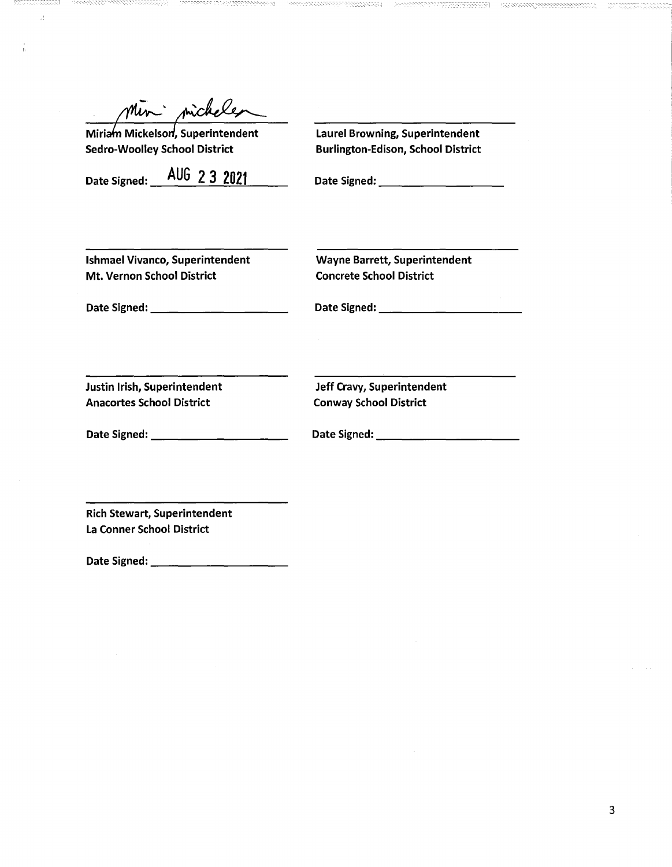micheles

Sedro-Woolley School District Burlington-Edison, School District

ť.

Miriam Mickelson, Superintendent Laurel Browning, Superintendent

Date Signed: \_A\_U\_G\_2**\_3....;;;2;,.;:.;02:::...:1\_\_** Date Signed: \_\_\_\_\_\_\_\_\_

Ishmael Vivanco, Superintendent Wayne Barrett, Superintendent Mt. Vernon School District Concrete School District

Date Signed: \_\_\_\_\_\_\_\_\_\_ Date Signed: \_\_\_\_\_\_\_\_\_\_\_

Justin Irish, Superintendent Anacortes School District

Date Signed: \_\_\_\_\_\_\_\_\_\_

Jeff Cravy, Superintendent Conway School District

Date Signed: \_\_\_\_\_\_\_\_\_\_\_

Rich Stewart, Superintendent La Conner School District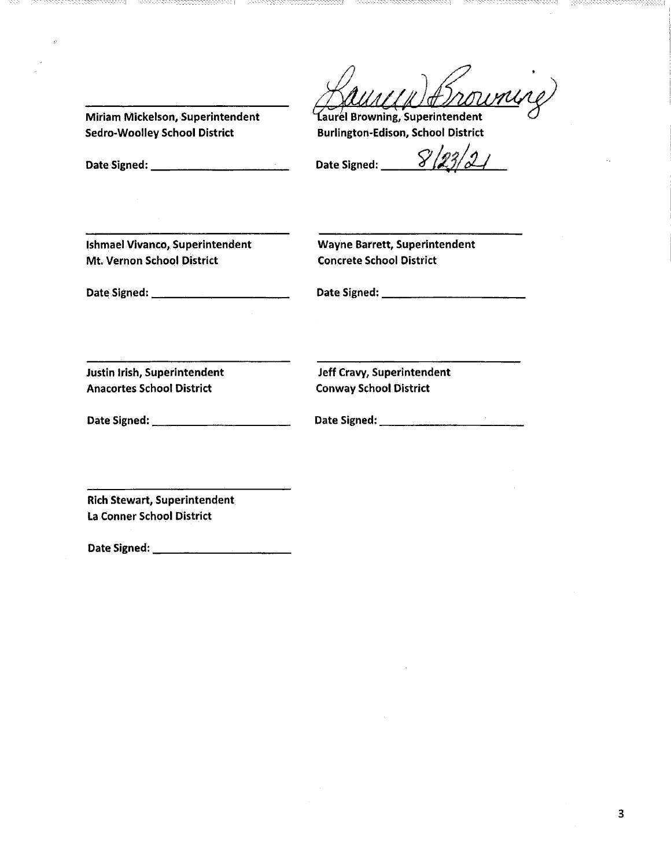Sedro-Woolley School District Burlington-Edison, School District

Miriam Mickelson, Superintendent aurel Browning, Superintendent

Date Signed: \_\_\_\_\_\_\_\_\_\_\_\_\_\_\_\_\_\_\_\_\_\_\_\_\_\_\_\_\_\_\_Date Signed:  $\frac{8}{23/2}$ 

---------\_-\_-\_-\_-\_--\_[

Ishmael Vivanco, Superintendent Wayne Barrett, Superintendent Mt. Vernon School District **Concrete School District** 

Date Signed: \_\_\_\_\_\_\_\_\_\_ Date Signed: \_\_\_\_\_\_\_\_\_\_\_

Justin Irish, Superintendent Anacortes School District

Jeff Cravy, Superintendent Conway School District

Date Signed: \_\_\_\_\_\_\_\_\_\_

Date Signed: \_\_\_\_\_\_\_\_\_\_\_

Rich Stewart, Superintendent La Conner School District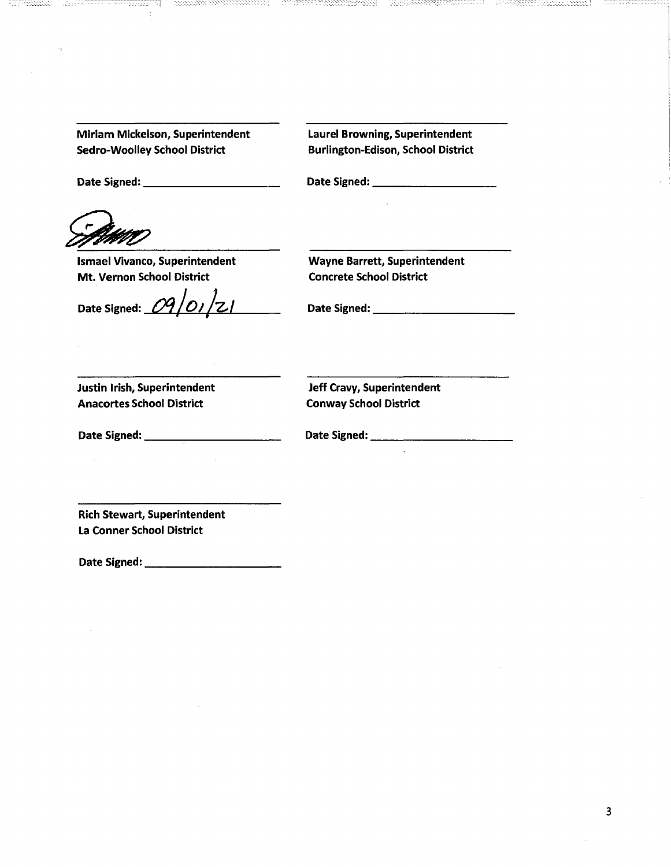Date Signed: \_\_\_\_\_\_\_\_\_\_\_\_\_\_\_\_\_\_\_\_\_\_\_\_\_\_\_\_\_\_\_\_\_\_\_Date Signed: \_\_\_\_\_\_\_\_\_\_\_\_\_\_\_\_\_\_\_

Ismael Vivanco, Superintendent Wayne Barrett, Superintendent Mt. Vernon School District Concrete School District

 $\sim 10^7$ 

Date Signed: *\_oq\_...,/,\_o~,-#:-l-z.\_l\_\_\_* Date Signed: \_\_\_\_\_\_\_\_\_\_

Justin Irish, Superintendent Anacortes School District

Jeff Cravy, Superintendent Conway School District

Date Signed: \_\_\_\_\_\_\_\_\_\_

Date Signed: \_\_\_\_\_\_\_\_\_\_\_

Rich Stewart, Superintendent La Conner School District

Date Signed: \_\_\_\_\_\_\_\_\_\_

---------1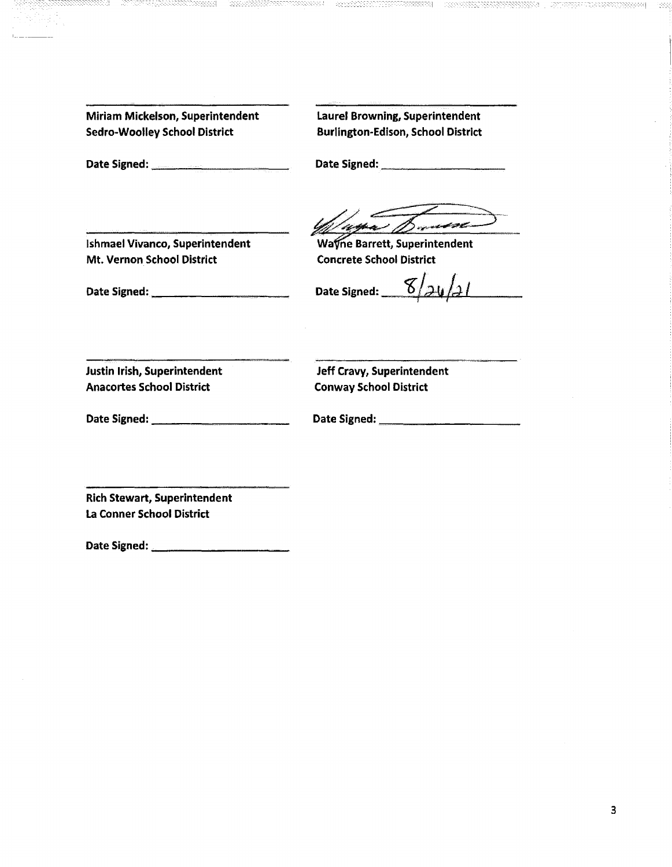---- --------- --1

Date Signed: etc. bluesses and Date Signed: etc. bluesses and Date Signed:

Ishmael Vivanco, Superintendent Wayne Barrett, Superintendent Mt. Vernon School District Concrete School District

Date Signed: \_\_\_\_\_\_\_\_\_\_ Date Signed: \_\_cg\_/ef: .....-\_!J\_J.........../\_\_\_ r P:-

Justin Irish, Superintendent Anacortes School District

Jeff Cravy, Superintendent Conway School District

Date Signed: \_\_\_\_\_\_\_\_\_\_

Date Signed: \_\_\_\_\_\_\_\_\_\_

Rich Stewart, Superintendent La Conner School District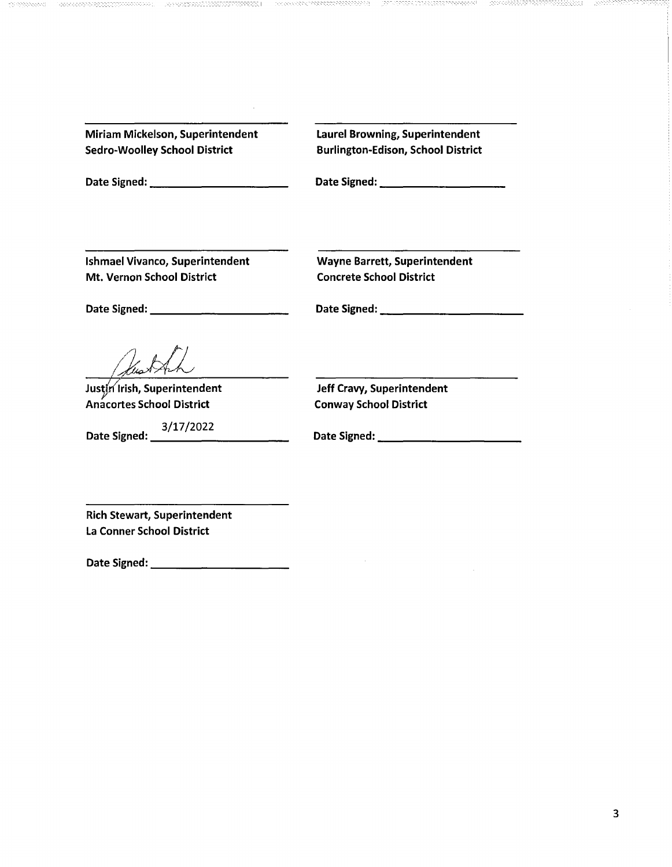| Miriam Mickelson, Superintendent     |  |
|--------------------------------------|--|
| <b>Sedro-Woolley School District</b> |  |

- ------------1

Laurel Browning, Superintendent Burlington-Edison, School District

Date Signed: \_\_\_\_\_\_\_\_\_\_ Date Signed: \_\_\_\_\_\_\_\_\_

Ishmael Vivanco, Superintendent Wayne Barrett, Superintendent Mt. Vernon School District Concrete School District

Date Signed: \_\_\_\_\_\_\_\_\_\_ Date Signed: \_\_\_\_\_\_\_\_\_\_\_

Justin Irish, Superintendent Anacortes School District Conway School District

Jeff Cravy, Superintendent

3/17/2022 Date Signed: \_\_\_\_\_\_\_\_\_\_ Date Signed: \_\_\_\_\_\_\_\_\_\_\_

Rich Stewart, Superintendent La Conner School District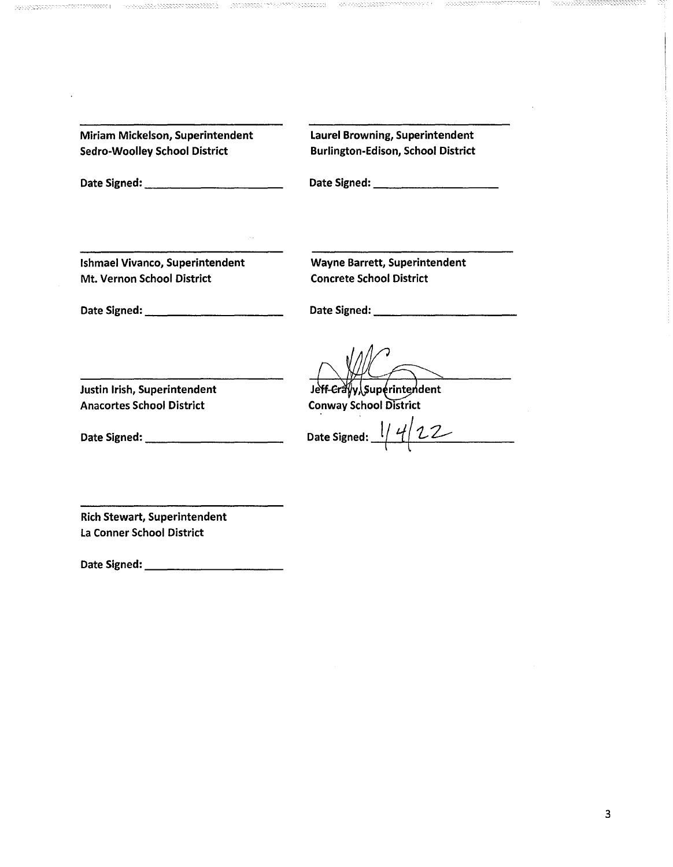Date Signed: \_\_\_\_\_\_\_\_\_\_ Date Signed: \_\_\_\_\_\_\_\_\_

------------1 -- -----------1

Ishmael Vivanco, Superintendent Mt. Vernon School District

Wayne Barrett, Superintendent Concrete School District

Date Signed: \_\_\_\_\_\_\_\_\_\_

Date Signed: \_\_\_\_\_\_\_\_\_\_\_

Jeff-Craw Superintendent Conway School District

Date Signed:  $\frac{1}{4}$   $\frac{4}{22}$ 

Justin Irish, Superintendent Anacortes School District

Date Signed: \_\_\_\_\_\_\_\_\_\_

Rich Stewart, Superintendent La Conner School District